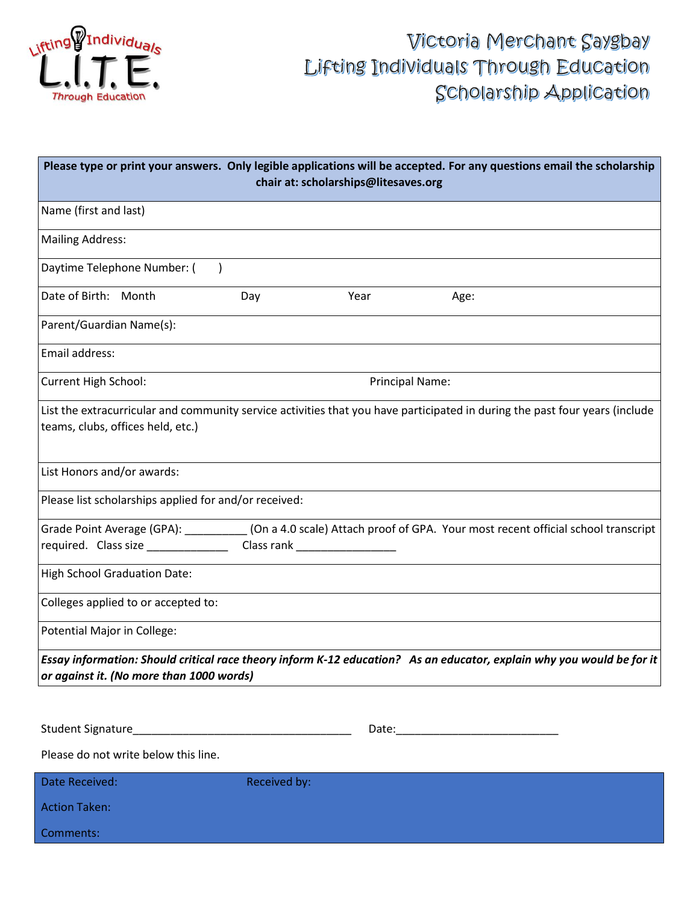

## Victoria Merchant Saygbay Lifting Individuals Through Education Scholarship Application

| Please type or print your answers. Only legible applications will be accepted. For any questions email the scholarship<br>chair at: scholarships@litesaves.org |                     |                        |                                                                                                                             |  |
|----------------------------------------------------------------------------------------------------------------------------------------------------------------|---------------------|------------------------|-----------------------------------------------------------------------------------------------------------------------------|--|
| Name (first and last)                                                                                                                                          |                     |                        |                                                                                                                             |  |
| <b>Mailing Address:</b>                                                                                                                                        |                     |                        |                                                                                                                             |  |
| Daytime Telephone Number: (<br>$\rightarrow$                                                                                                                   |                     |                        |                                                                                                                             |  |
| Date of Birth: Month                                                                                                                                           | Day                 | Year                   | Age:                                                                                                                        |  |
| Parent/Guardian Name(s):                                                                                                                                       |                     |                        |                                                                                                                             |  |
| Email address:                                                                                                                                                 |                     |                        |                                                                                                                             |  |
| <b>Current High School:</b>                                                                                                                                    |                     | <b>Principal Name:</b> |                                                                                                                             |  |
| teams, clubs, offices held, etc.)                                                                                                                              |                     |                        | List the extracurricular and community service activities that you have participated in during the past four years (include |  |
| List Honors and/or awards:                                                                                                                                     |                     |                        |                                                                                                                             |  |
| Please list scholarships applied for and/or received:                                                                                                          |                     |                        |                                                                                                                             |  |
|                                                                                                                                                                |                     |                        | Grade Point Average (GPA): ___________(On a 4.0 scale) Attach proof of GPA. Your most recent official school transcript     |  |
| required. Class size ____________________Class rank ____________________________                                                                               |                     |                        |                                                                                                                             |  |
| High School Graduation Date:                                                                                                                                   |                     |                        |                                                                                                                             |  |
| Colleges applied to or accepted to:                                                                                                                            |                     |                        |                                                                                                                             |  |
| Potential Major in College:                                                                                                                                    |                     |                        |                                                                                                                             |  |
| or against it. (No more than 1000 words)                                                                                                                       |                     |                        | Essay information: Should critical race theory inform K-12 education? As an educator, explain why you would be for it       |  |
|                                                                                                                                                                |                     |                        |                                                                                                                             |  |
| Please do not write below this line.                                                                                                                           |                     |                        |                                                                                                                             |  |
| Date Received:                                                                                                                                                 | <b>Received by:</b> |                        |                                                                                                                             |  |
| <b>Action Taken:</b>                                                                                                                                           |                     |                        |                                                                                                                             |  |
| Comments:                                                                                                                                                      |                     |                        |                                                                                                                             |  |